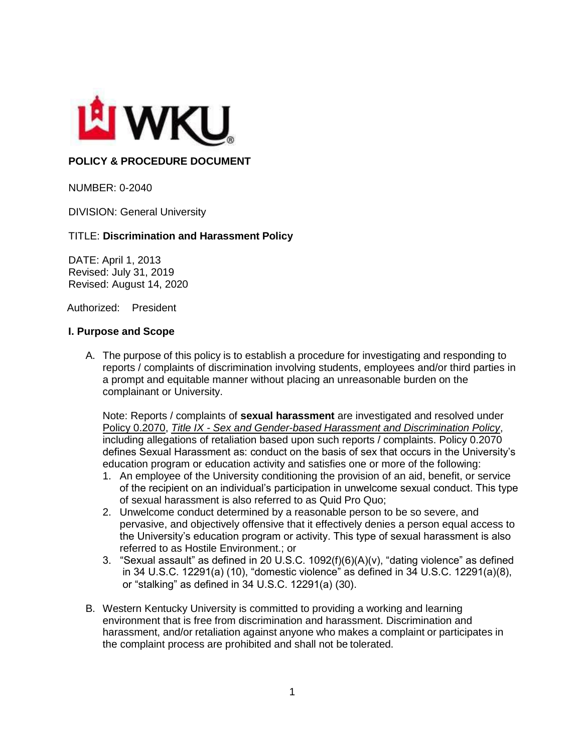

# **POLICY & PROCEDURE DOCUMENT**

NUMBER: 0-2040

DIVISION: General University

### TITLE: **Discrimination and Harassment Policy**

DATE: April 1, 2013 Revised: July 31, 2019 Revised: August 14, 2020

Authorized: President

### **I. Purpose and Scope**

A. The purpose of this policy is to establish a procedure for investigating and responding to reports / complaints of discrimination involving students, employees and/or third parties in a prompt and equitable manner without placing an unreasonable burden on the complainant or University.

Note: Reports / complaints of **sexual harassment** are investigated and resolved under Policy 0.2070, *Title IX - Sex and Gender-based Harassment and Discrimination Policy*, including allegations of retaliation based upon such reports / complaints. Policy 0.2070 defines Sexual Harassment as: conduct on the basis of sex that occurs in the University's education program or education activity and satisfies one or more of the following:

- 1. An employee of the University conditioning the provision of an aid, benefit, or service of the recipient on an individual's participation in unwelcome sexual conduct. This type of sexual harassment is also referred to as Quid Pro Quo;
- 2. Unwelcome conduct determined by a reasonable person to be so severe, and pervasive, and objectively offensive that it effectively denies a person equal access to the University's education program or activity. This type of sexual harassment is also referred to as Hostile Environment.; or
- 3. "Sexual assault" as defined in 20 U.S.C. 1092(f)(6)(A)(v), "dating violence" as defined in 34 U.S.C. 12291(a) (10), "domestic violence" as defined in 34 U.S.C. 12291(a)(8), or "stalking" as defined in 34 U.S.C. 12291(a) (30).
- B. Western Kentucky University is committed to providing a working and learning environment that is free from discrimination and harassment. Discrimination and harassment, and/or retaliation against anyone who makes a complaint or participates in the complaint process are prohibited and shall not be tolerated.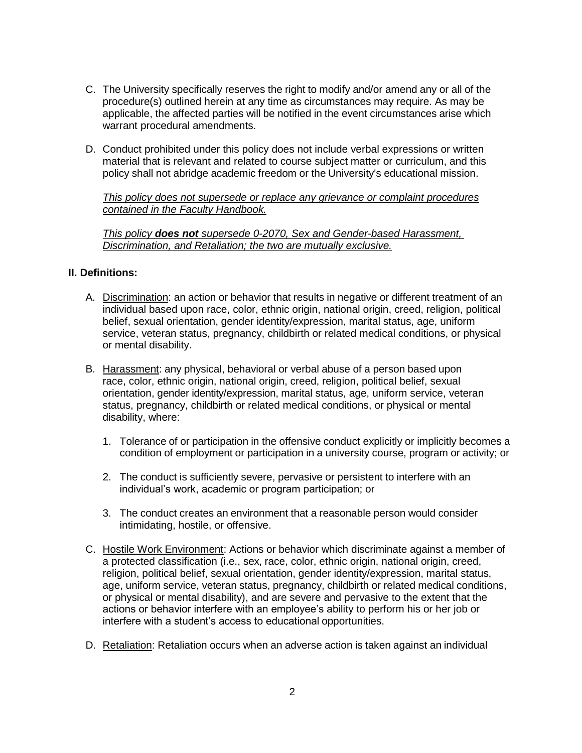- C. The University specifically reserves the right to modify and/or amend any or all of the procedure(s) outlined herein at any time as circumstances may require. As may be applicable, the affected parties will be notified in the event circumstances arise which warrant procedural amendments.
- D. Conduct prohibited under this policy does not include verbal expressions or written material that is relevant and related to course subject matter or curriculum, and this policy shall not abridge academic freedom or the University's educational mission.

*This policy does not supersede or replace any grievance or complaint procedures contained in the Faculty Handbook.*

*This policy does not supersede 0-2070, Sex and Gender-based Harassment, Discrimination, and Retaliation; the two are mutually exclusive.*

## **II. Definitions:**

- A. Discrimination: an action or behavior that results in negative or different treatment of an individual based upon race, color, ethnic origin, national origin, creed, religion, political belief, sexual orientation, gender identity/expression, marital status, age, uniform service, veteran status, pregnancy, childbirth or related medical conditions, or physical or mental disability.
- B. Harassment: any physical, behavioral or verbal abuse of a person based upon race, color, ethnic origin, national origin, creed, religion, political belief, sexual orientation, gender identity/expression, marital status, age, uniform service, veteran status, pregnancy, childbirth or related medical conditions, or physical or mental disability, where:
	- 1. Tolerance of or participation in the offensive conduct explicitly or implicitly becomes a condition of employment or participation in a university course, program or activity; or
	- 2. The conduct is sufficiently severe, pervasive or persistent to interfere with an individual's work, academic or program participation; or
	- 3. The conduct creates an environment that a reasonable person would consider intimidating, hostile, or offensive.
- C. Hostile Work Environment: Actions or behavior which discriminate against a member of a protected classification (i.e., sex, race, color, ethnic origin, national origin, creed, religion, political belief, sexual orientation, gender identity/expression, marital status, age, uniform service, veteran status, pregnancy, childbirth or related medical conditions, or physical or mental disability), and are severe and pervasive to the extent that the actions or behavior interfere with an employee's ability to perform his or her job or interfere with a student's access to educational opportunities.
- D. Retaliation: Retaliation occurs when an adverse action is taken against an individual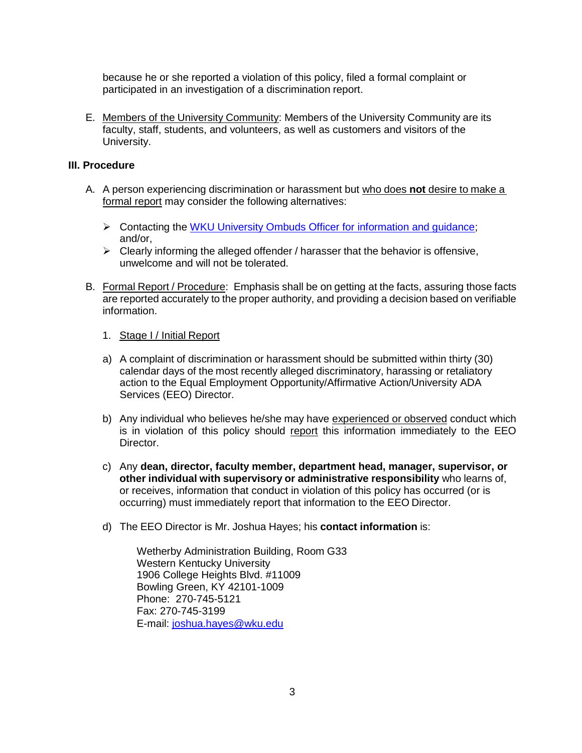because he or she reported a violation of this policy, filed a formal complaint or participated in an investigation of a discrimination report.

E. Members of the University Community: Members of the University Community are its faculty, staff, students, and volunteers, as well as customers and visitors of the University.

#### **III. Procedure**

- A. A person experiencing discrimination or harassment but who does **not** desire to make a formal report may consider the following alternatives:
	- $\triangleright$  Contacting the WKU University Ombuds Officer for information and quidance; and/or,
	- $\triangleright$  Clearly informing the alleged offender / harasser that the behavior is offensive, unwelcome and will not be tolerated.
- B. Formal Report / Procedure: Emphasis shall be on getting at the facts, assuring those facts are reported accurately to the proper authority, and providing a decision based on verifiable information.
	- 1. Stage I / Initial Report
	- a) A complaint of discrimination or harassment should be submitted within thirty (30) calendar days of the most recently alleged discriminatory, harassing or retaliatory action to the Equal Employment Opportunity/Affirmative Action/University ADA Services (EEO) Director.
	- b) Any individual who believes he/she may have experienced or observed conduct which is in violation of this policy should report this information immediately to the EEO Director.
	- c) Any **dean, director, faculty member, department head, manager, supervisor, or other individual with supervisory or administrative responsibility** who learns of, or receives, information that conduct in violation of this policy has occurred (or is occurring) must immediately report that information to the EEO Director.
	- d) The EEO Director is Mr. Joshua Hayes; his **contact information** is:

Wetherby Administration Building, Room G33 Western Kentucky University 1906 College Heights Blvd. #11009 Bowling Green, KY 42101-1009 Phone: 270-745-5121 Fax: 270-745-3199 E-mail: [joshua.hayes@wku.edu](mailto:joshua.hayes@wku.edu)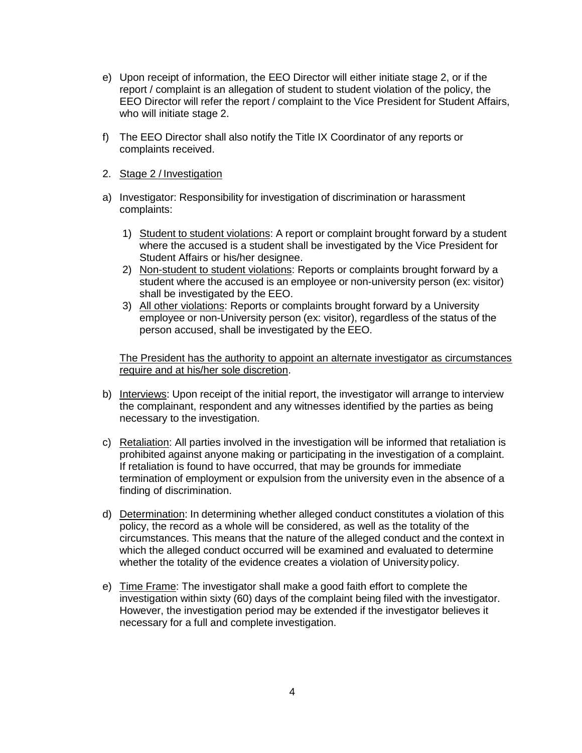- e) Upon receipt of information, the EEO Director will either initiate stage 2, or if the report / complaint is an allegation of student to student violation of the policy, the EEO Director will refer the report / complaint to the Vice President for Student Affairs, who will initiate stage 2.
- f) The EEO Director shall also notify the Title IX Coordinator of any reports or complaints received.
- 2. Stage 2 / Investigation
- a) Investigator: Responsibility for investigation of discrimination or harassment complaints:
	- 1) Student to student violations: A report or complaint brought forward by a student where the accused is a student shall be investigated by the Vice President for Student Affairs or his/her designee.
	- 2) Non-student to student violations: Reports or complaints brought forward by a student where the accused is an employee or non-university person (ex: visitor) shall be investigated by the EEO.
	- 3) All other violations: Reports or complaints brought forward by a University employee or non-University person (ex: visitor), regardless of the status of the person accused, shall be investigated by the EEO.

The President has the authority to appoint an alternate investigator as circumstances require and at his/her sole discretion.

- b) Interviews: Upon receipt of the initial report, the investigator will arrange to interview the complainant, respondent and any witnesses identified by the parties as being necessary to the investigation.
- c) Retaliation: All parties involved in the investigation will be informed that retaliation is prohibited against anyone making or participating in the investigation of a complaint. If retaliation is found to have occurred, that may be grounds for immediate termination of employment or expulsion from the university even in the absence of a finding of discrimination.
- d) Determination: In determining whether alleged conduct constitutes a violation of this policy, the record as a whole will be considered, as well as the totality of the circumstances. This means that the nature of the alleged conduct and the context in which the alleged conduct occurred will be examined and evaluated to determine whether the totality of the evidence creates a violation of Universitypolicy.
- e) Time Frame: The investigator shall make a good faith effort to complete the investigation within sixty (60) days of the complaint being filed with the investigator. However, the investigation period may be extended if the investigator believes it necessary for a full and complete investigation.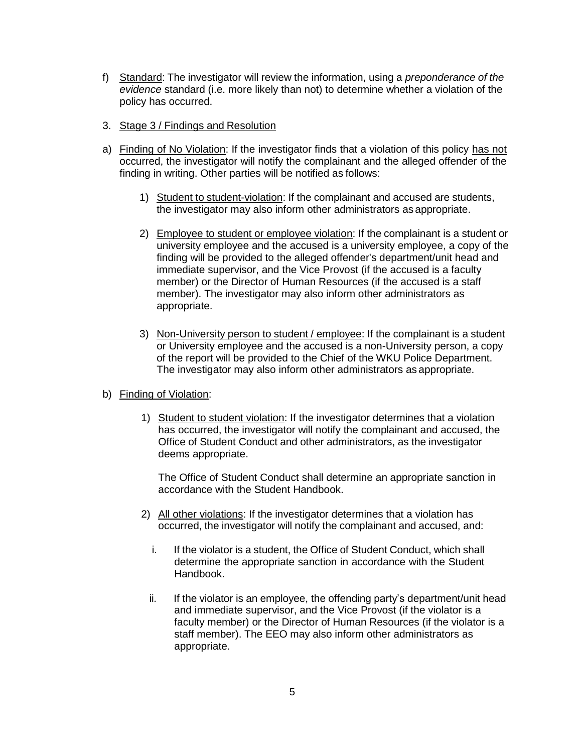- f) Standard: The investigator will review the information, using a *preponderance of the evidence* standard (i.e. more likely than not) to determine whether a violation of the policy has occurred.
- 3. Stage 3 / Findings and Resolution
- a) Finding of No Violation: If the investigator finds that a violation of this policy has not occurred, the investigator will notify the complainant and the alleged offender of the finding in writing. Other parties will be notified as follows:
	- 1) Student to student-violation: If the complainant and accused are students, the investigator may also inform other administrators as appropriate.
	- 2) Employee to student or employee violation: If the complainant is a student or university employee and the accused is a university employee, a copy of the finding will be provided to the alleged offender's department/unit head and immediate supervisor, and the Vice Provost (if the accused is a faculty member) or the Director of Human Resources (if the accused is a staff member). The investigator may also inform other administrators as appropriate.
	- 3) Non-University person to student / employee: If the complainant is a student or University employee and the accused is a non-University person, a copy of the report will be provided to the Chief of the WKU Police Department. The investigator may also inform other administrators as appropriate.
- b) Finding of Violation:
	- 1) Student to student violation: If the investigator determines that a violation has occurred, the investigator will notify the complainant and accused, the Office of Student Conduct and other administrators, as the investigator deems appropriate.

The Office of Student Conduct shall determine an appropriate sanction in accordance with the Student Handbook.

- 2) All other violations: If the investigator determines that a violation has occurred, the investigator will notify the complainant and accused, and:
	- i. If the violator is a student, the Office of Student Conduct, which shall determine the appropriate sanction in accordance with the Student Handbook.
	- ii. If the violator is an employee, the offending party's department/unit head and immediate supervisor, and the Vice Provost (if the violator is a faculty member) or the Director of Human Resources (if the violator is a staff member). The EEO may also inform other administrators as appropriate.